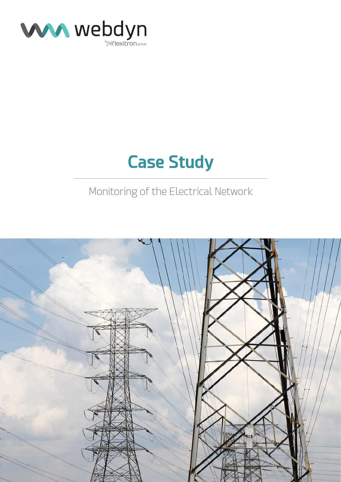

# **Case Study**

### Monitoring of the Electrical Network

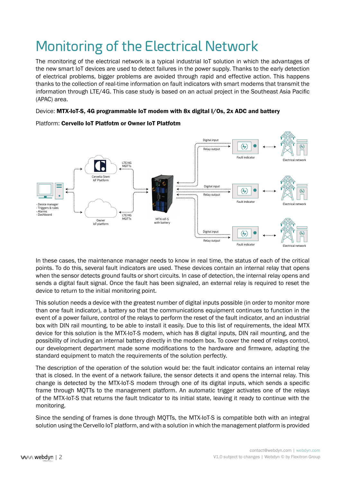## Monitoring of the Electrical Network

The monitoring of the electrical network is a typical industrial IoT solution in which the advantages of the new smart IoT devices are used to detect failures in the power supply. Thanks to the early detection of electrical problems, bigger problems are avoided through rapid and effective action. This happens thanks to the collection of real-time information on fault indicators with smart modems that transmit the information through LTE/4G. This case study is based on an actual project in the Southeast Asia Pacific (APAC) area.

### Device: MTX-IoT-S, 4G programmable IoT modem with 8x digital I/Os, 2x ADC and battery



#### Platform: Cervello IoT Platfotm or Owner IoT Platfotm

In these cases, the maintenance manager needs to know in real time, the status of each of the critical points. To do this, several fault indicators are used. These devices contain an internal relay that opens when the sensor detects ground faults or short circuits. In case of detection, the internal relay opens and sends a digital fault signal. Once the fault has been signaled, an external relay is required to reset the device to return to the initial monitoring point.

This solution needs a device with the greatest number of digital inputs possible (in order to monitor more than one fault indicator), a battery so that the communications equipment continues to function in the event of a power failure, control of the relays to perform the reset of the fault indicator, and an industrial box with DIN rail mounting, to be able to install it easily. Due to this list of requirements, the ideal MTX device for this solution is the MTX-IoT-S modem, which has 8 digital inputs, DIN rail mounting, and the possibility of including an internal battery directly in the modem box. To cover the need of relays control, our development department made some modifications to the hardware and firmware, adapting the standard equipment to match the requirements of the solution perfectly.

The description of the operation of the solution would be: the fault indicator contains an internal relay that is closed. In the event of a network failure, the sensor detects it and opens the internal relay. This change is detected by the MTX-IoT-S modem through one of its digital inputs, which sends a specific frame through MQTTs to the management platform. An automatic trigger activates one of the relays of the MTX-IoT-S that returns the fault tndicator to its initial state, leaving it ready to continue with the monitoring.

Since the sending of frames is done through MQTTs, the MTX-IoT-S is compatible both with an integral solution using the Cervello IoT platform, and with a solution in which the management platform is provided